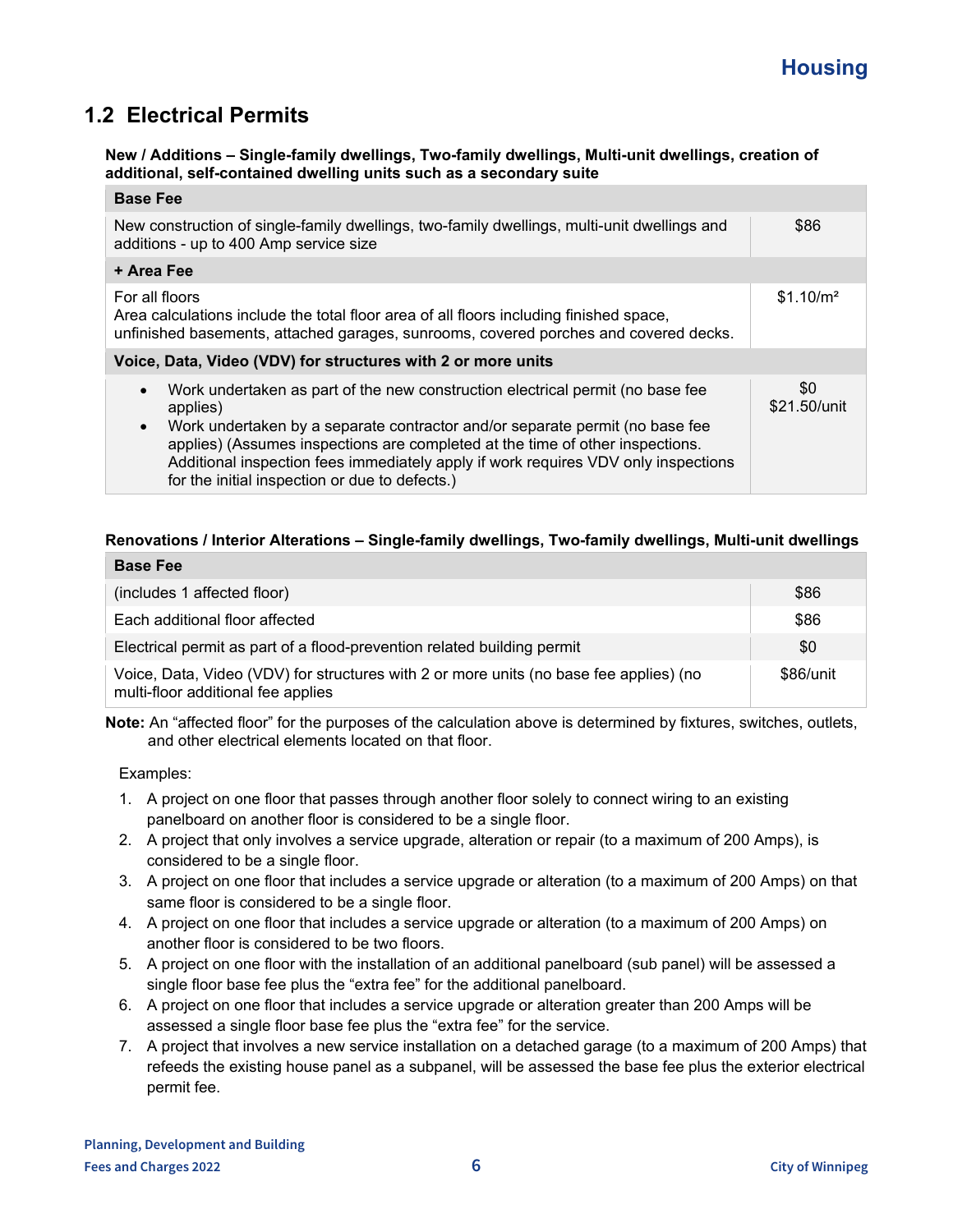# **1.2 Electrical Permits**

#### **New / Additions – Single-family dwellings, Two-family dwellings, Multi-unit dwellings, creation of additional, self-contained dwelling units such as a secondary suite**

| <b>Base Fee</b>                                                                                                                                                                                                                                                                                                                                                                                                               |                       |
|-------------------------------------------------------------------------------------------------------------------------------------------------------------------------------------------------------------------------------------------------------------------------------------------------------------------------------------------------------------------------------------------------------------------------------|-----------------------|
| New construction of single-family dwellings, two-family dwellings, multi-unit dwellings and<br>additions - up to 400 Amp service size                                                                                                                                                                                                                                                                                         | \$86                  |
| + Area Fee                                                                                                                                                                                                                                                                                                                                                                                                                    |                       |
| For all floors<br>Area calculations include the total floor area of all floors including finished space,<br>unfinished basements, attached garages, sunrooms, covered porches and covered decks.                                                                                                                                                                                                                              | \$1.10/m <sup>2</sup> |
| Voice, Data, Video (VDV) for structures with 2 or more units                                                                                                                                                                                                                                                                                                                                                                  |                       |
| Work undertaken as part of the new construction electrical permit (no base fee<br>$\bullet$<br>applies)<br>Work undertaken by a separate contractor and/or separate permit (no base fee<br>$\bullet$<br>applies) (Assumes inspections are completed at the time of other inspections.<br>Additional inspection fees immediately apply if work requires VDV only inspections<br>for the initial inspection or due to defects.) | \$0<br>\$21.50/unit   |

## **Renovations / Interior Alterations – Single-family dwellings, Two-family dwellings, Multi-unit dwellings**

| <b>Base Fee</b>                                                                                                              |           |
|------------------------------------------------------------------------------------------------------------------------------|-----------|
| (includes 1 affected floor)                                                                                                  | \$86      |
| Each additional floor affected                                                                                               | \$86      |
| Electrical permit as part of a flood-prevention related building permit                                                      | \$0       |
| Voice, Data, Video (VDV) for structures with 2 or more units (no base fee applies) (no<br>multi-floor additional fee applies | \$86/unit |

**Note:** An "affected floor" for the purposes of the calculation above is determined by fixtures, switches, outlets, and other electrical elements located on that floor.

Examples:

- 1. A project on one floor that passes through another floor solely to connect wiring to an existing panelboard on another floor is considered to be a single floor.
- 2. A project that only involves a service upgrade, alteration or repair (to a maximum of 200 Amps), is considered to be a single floor.
- 3. A project on one floor that includes a service upgrade or alteration (to a maximum of 200 Amps) on that same floor is considered to be a single floor.
- 4. A project on one floor that includes a service upgrade or alteration (to a maximum of 200 Amps) on another floor is considered to be two floors.
- 5. A project on one floor with the installation of an additional panelboard (sub panel) will be assessed a single floor base fee plus the "extra fee" for the additional panelboard.
- 6. A project on one floor that includes a service upgrade or alteration greater than 200 Amps will be assessed a single floor base fee plus the "extra fee" for the service.
- 7. A project that involves a new service installation on a detached garage (to a maximum of 200 Amps) that refeeds the existing house panel as a subpanel, will be assessed the base fee plus the exterior electrical permit fee.